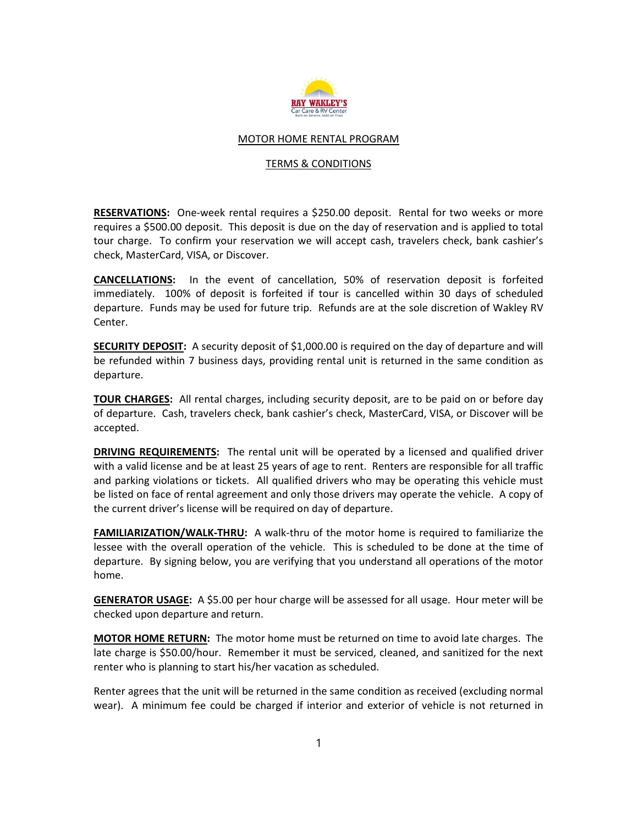

## MOTOR HOME RENTAL PROGRAM

## TERMS & CONDITIONS

RESERVATIONS: One-week rental requires a \$250.00 deposit. Rental for two weeks or more requires a \$500.00 deposit. This deposit is due on the day of reservation and is applied to total tour charge. To confirm your reservation we will accept cash, travelers check, bank cashier's check, MasterCard, VISA, or Discover.

CANCELLATIONS: In the event of cancellation, 50% of reservation deposit is forfeited immediately. 100% of deposit is forfeited if tour is cancelled within 30 days of scheduled departure. Funds may be used for future trip. Refunds are at the sole discretion of Wakley RV Center.

SECURITY DEPOSIT: A security deposit of \$1,000.00 is required on the day of departure and will be refunded within 7 business days, providing rental unit is returned in the same condition as departure.

**TOUR CHARGES:** All rental charges, including security deposit, are to be paid on or before day of departure. Cash, travelers check, bank cashier's check, MasterCard, VISA, or Discover will be accepted.

DRIVING REQUIREMENTS: The rental unit will be operated by a licensed and qualified driver with a valid license and be at least 25 years of age to rent. Renters are responsible for all traffic and parking violations or tickets. All qualified drivers who may be operating this vehicle must be listed on face of rental agreement and only those drivers may operate the vehicle. A copy of the current driver's license will be required on day of departure.

**FAMILIARIZATION/WALK-THRU:** A walk-thru of the motor home is required to familiarize the lessee with the overall operation of the vehicle. This is scheduled to be done at the time of departure. By signing below, you are verifying that you understand all operations of the motor home.

GENERATOR USAGE: A \$5.00 per hour charge will be assessed for all usage. Hour meter will be checked upon departure and return.

MOTOR HOME RETURN: The motor home must be returned on time to avoid late charges. The late charge is \$50.00/hour. Remember it must be serviced, cleaned, and sanitized for the next renter who is planning to start his/her vacation as scheduled.

Renter agrees that the unit will be returned in the same condition as received (excluding normal wear). A minimum fee could be charged if interior and exterior of vehicle is not returned in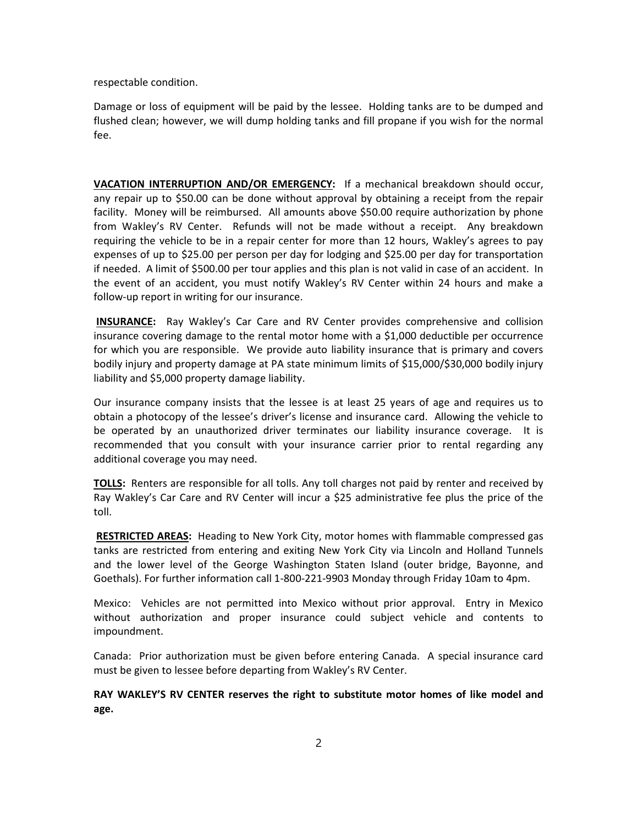respectable condition.

Damage or loss of equipment will be paid by the lessee. Holding tanks are to be dumped and flushed clean; however, we will dump holding tanks and fill propane if you wish for the normal fee.

VACATION INTERRUPTION AND/OR EMERGENCY: If a mechanical breakdown should occur, any repair up to \$50.00 can be done without approval by obtaining a receipt from the repair facility. Money will be reimbursed. All amounts above \$50.00 require authorization by phone from Wakley's RV Center. Refunds will not be made without a receipt. Any breakdown requiring the vehicle to be in a repair center for more than 12 hours, Wakley's agrees to pay expenses of up to \$25.00 per person per day for lodging and \$25.00 per day for transportation if needed. A limit of \$500.00 per tour applies and this plan is not valid in case of an accident. In the event of an accident, you must notify Wakley's RV Center within 24 hours and make a follow-up report in writing for our insurance.

INSURANCE: Ray Wakley's Car Care and RV Center provides comprehensive and collision insurance covering damage to the rental motor home with a \$1,000 deductible per occurrence for which you are responsible. We provide auto liability insurance that is primary and covers bodily injury and property damage at PA state minimum limits of \$15,000/\$30,000 bodily injury liability and \$5,000 property damage liability.

Our insurance company insists that the lessee is at least 25 years of age and requires us to obtain a photocopy of the lessee's driver's license and insurance card. Allowing the vehicle to be operated by an unauthorized driver terminates our liability insurance coverage. It is recommended that you consult with your insurance carrier prior to rental regarding any additional coverage you may need.

TOLLS: Renters are responsible for all tolls. Any toll charges not paid by renter and received by Ray Wakley's Car Care and RV Center will incur a \$25 administrative fee plus the price of the toll.

RESTRICTED AREAS: Heading to New York City, motor homes with flammable compressed gas tanks are restricted from entering and exiting New York City via Lincoln and Holland Tunnels and the lower level of the George Washington Staten Island (outer bridge, Bayonne, and Goethals). For further information call 1-800-221-9903 Monday through Friday 10am to 4pm.

Mexico: Vehicles are not permitted into Mexico without prior approval. Entry in Mexico without authorization and proper insurance could subject vehicle and contents to impoundment.

Canada: Prior authorization must be given before entering Canada. A special insurance card must be given to lessee before departing from Wakley's RV Center.

RAY WAKLEY'S RV CENTER reserves the right to substitute motor homes of like model and age.